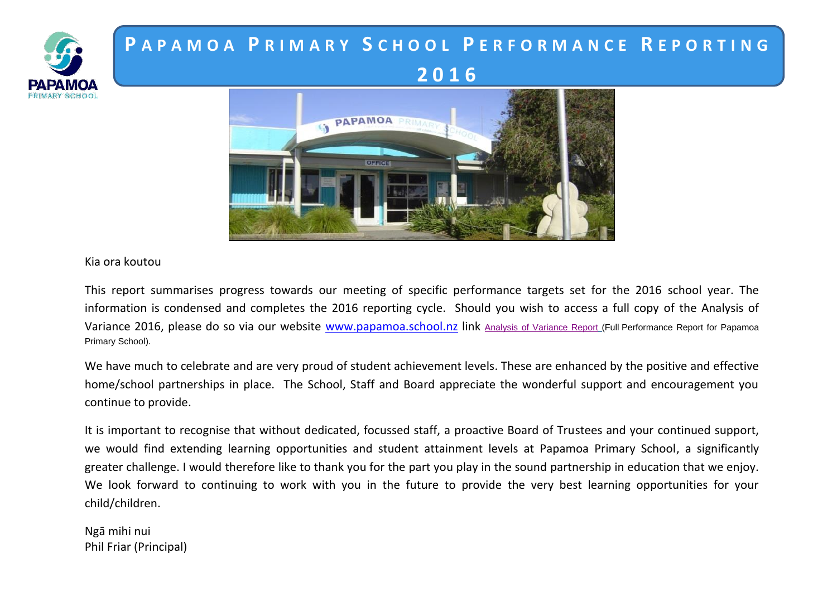

# **P A P A M O A P R I M A R Y S C H O O L P E R F O R M A N C E R E P O R T I N G 2 0 1 6**



Kia ora koutou

This report summarises progress towards our meeting of specific performance targets set for the 2016 school year. The information is condensed and completes the 2016 reporting cycle. Should you wish to access a full copy of the Analysis of Variance 2016, please do so via our website [www.papamoa.school.nz](http://www.papamoa.school.nz/) link [Analysis of Variance Report](http://www.papamoa.school.nz/vdb/document/364) (Full Performance Report for Papamoa Primary School).

We have much to celebrate and are very proud of student achievement levels. These are enhanced by the positive and effective home/school partnerships in place. The School, Staff and Board appreciate the wonderful support and encouragement you continue to provide.

It is important to recognise that without dedicated, focussed staff, a proactive Board of Trustees and your continued support, we would find extending learning opportunities and student attainment levels at Papamoa Primary School, a significantly greater challenge. I would therefore like to thank you for the part you play in the sound partnership in education that we enjoy. We look forward to continuing to work with you in the future to provide the very best learning opportunities for your child/children.

Ngā mihi nui Phil Friar (Principal)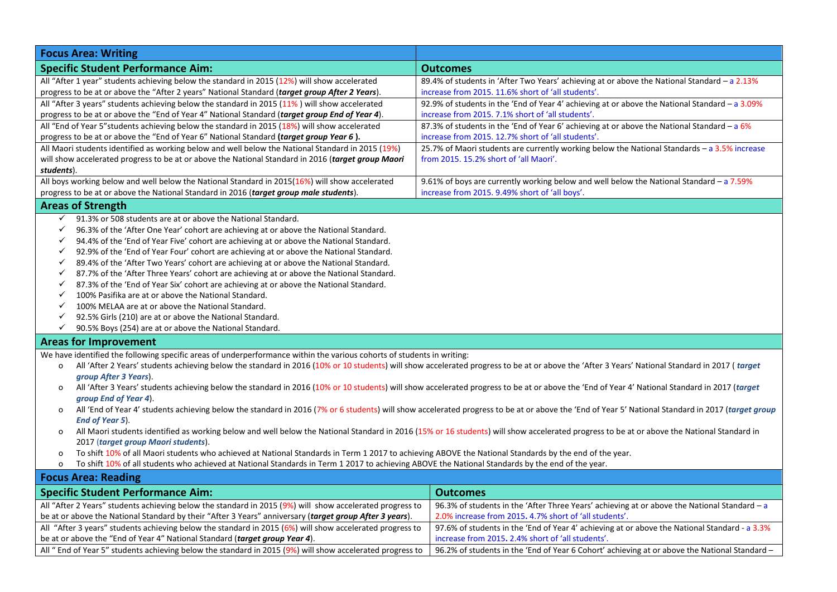| <b>Focus Area: Writing</b>                                                                                                                                                                                   |                                                                                                  |  |
|--------------------------------------------------------------------------------------------------------------------------------------------------------------------------------------------------------------|--------------------------------------------------------------------------------------------------|--|
| <b>Specific Student Performance Aim:</b>                                                                                                                                                                     | <b>Outcomes</b>                                                                                  |  |
| All "After 1 year" students achieving below the standard in 2015 (12%) will show accelerated                                                                                                                 | 89.4% of students in 'After Two Years' achieving at or above the National Standard - a 2.13%     |  |
| progress to be at or above the "After 2 years" National Standard (target group After 2 Years).                                                                                                               | increase from 2015. 11.6% short of 'all students'.                                               |  |
| All "After 3 years" students achieving below the standard in 2015 (11%) will show accelerated                                                                                                                | 92.9% of students in the 'End of Year 4' achieving at or above the National Standard $-$ a 3.09% |  |
| progress to be at or above the "End of Year 4" National Standard (target group End of Year 4).                                                                                                               | increase from 2015. 7.1% short of 'all students'.                                                |  |
| All "End of Year 5"students achieving below the standard in 2015 (18%) will show accelerated                                                                                                                 | 87.3% of students in the 'End of Year 6' achieving at or above the National Standard - a $6\%$   |  |
| progress to be at or above the "End of Year 6" National Standard (target group Year 6).                                                                                                                      | increase from 2015. 12.7% short of 'all students'.                                               |  |
| All Maori students identified as working below and well below the National Standard in 2015 (19%)                                                                                                            | 25.7% of Maori students are currently working below the National Standards $-$ a 3.5% increase   |  |
| will show accelerated progress to be at or above the National Standard in 2016 (target group Maori                                                                                                           | from 2015, 15.2% short of 'all Maori'.                                                           |  |
| students).                                                                                                                                                                                                   |                                                                                                  |  |
| All boys working below and well below the National Standard in 2015(16%) will show accelerated                                                                                                               | 9.61% of boys are currently working below and well below the National Standard - a 7.59%         |  |
| progress to be at or above the National Standard in 2016 (target group male students).                                                                                                                       | increase from 2015. 9.49% short of 'all boys'.                                                   |  |
| <b>Areas of Strength</b>                                                                                                                                                                                     |                                                                                                  |  |
| 91.3% or 508 students are at or above the National Standard.<br>✓                                                                                                                                            |                                                                                                  |  |
| ✓<br>96.3% of the 'After One Year' cohort are achieving at or above the National Standard.                                                                                                                   |                                                                                                  |  |
| 94.4% of the 'End of Year Five' cohort are achieving at or above the National Standard.<br>✓                                                                                                                 |                                                                                                  |  |
| 92.9% of the 'End of Year Four' cohort are achieving at or above the National Standard.<br>✓                                                                                                                 |                                                                                                  |  |
| 89.4% of the 'After Two Years' cohort are achieving at or above the National Standard.<br>✓                                                                                                                  |                                                                                                  |  |
| 87.7% of the 'After Three Years' cohort are achieving at or above the National Standard.<br>$\checkmark$                                                                                                     |                                                                                                  |  |
| 87.3% of the 'End of Year Six' cohort are achieving at or above the National Standard.<br>✓                                                                                                                  |                                                                                                  |  |
| 100% Pasifika are at or above the National Standard.<br>$\checkmark$                                                                                                                                         |                                                                                                  |  |
| 100% MELAA are at or above the National Standard.<br>✓                                                                                                                                                       |                                                                                                  |  |
| ✓<br>92.5% Girls (210) are at or above the National Standard.                                                                                                                                                |                                                                                                  |  |
| ✓<br>90.5% Boys (254) are at or above the National Standard.                                                                                                                                                 |                                                                                                  |  |
| <b>Areas for Improvement</b>                                                                                                                                                                                 |                                                                                                  |  |
| We have identified the following specific areas of underperformance within the various cohorts of students in writing:                                                                                       |                                                                                                  |  |
| All 'After 2 Years' students achieving below the standard in 2016 (10% or 10 students) will show accelerated progress to be at or above the 'After 3 Years' National Standard in 2017 (target<br>o           |                                                                                                  |  |
| group After 3 Years).                                                                                                                                                                                        |                                                                                                  |  |
| All 'After 3 Years' students achieving below the standard in 2016 (10% or 10 students) will show accelerated progress to be at or above the 'End of Year 4' National Standard in 2017 (target<br>o           |                                                                                                  |  |
| group End of Year 4).                                                                                                                                                                                        |                                                                                                  |  |
| All 'End of Year 4' students achieving below the standard in 2016 (7% or 6 students) will show accelerated progress to be at or above the 'End of Year 5' National Standard in 2017 (target group<br>$\circ$ |                                                                                                  |  |
| End of Year 5).                                                                                                                                                                                              |                                                                                                  |  |
| All Maori students identified as working below and well below the National Standard in 2016 (15% or 16 students) will show accelerated progress to be at or above the National Standard in<br>o              |                                                                                                  |  |
| 2017 (target group Maori students).                                                                                                                                                                          |                                                                                                  |  |
| To shift 10% of all Maori students who achieved at National Standards in Term 1 2017 to achieving ABOVE the National Standards by the end of the year.<br>o                                                  |                                                                                                  |  |
| To shift 10% of all students who achieved at National Standards in Term 1 2017 to achieving ABOVE the National Standards by the end of the year.<br>o                                                        |                                                                                                  |  |
| <b>Focus Area: Reading</b>                                                                                                                                                                                   |                                                                                                  |  |
| <b>Specific Student Performance Aim:</b>                                                                                                                                                                     | <b>Outcomes</b>                                                                                  |  |
| All "After 2 Years" students achieving below the standard in 2015 (9%) will show accelerated progress to                                                                                                     | 96.3% of students in the 'After Three Years' achieving at or above the National Standard $-a$    |  |
| be at or above the National Standard by their "After 3 Years" anniversary (target group After 3 years).                                                                                                      | 2.0% increase from 2015. 4.7% short of 'all students'.                                           |  |
| All "After 3 years" students achieving below the standard in 2015 (6%) will show accelerated progress to                                                                                                     | 97.6% of students in the 'End of Year 4' achieving at or above the National Standard - a 3.3%    |  |

All "End of Year 5" students achieving below the standard in 2015 (9%) will show accelerated progress to  $\,$  | 96.2% of students in the 'End of Year 6 Cohort' achieving at or above the National Standard –

increase from 2015**.** 2.4% short of 'all students'.

be at or above the "End of Year 4" National Standard (*target group Year 4*).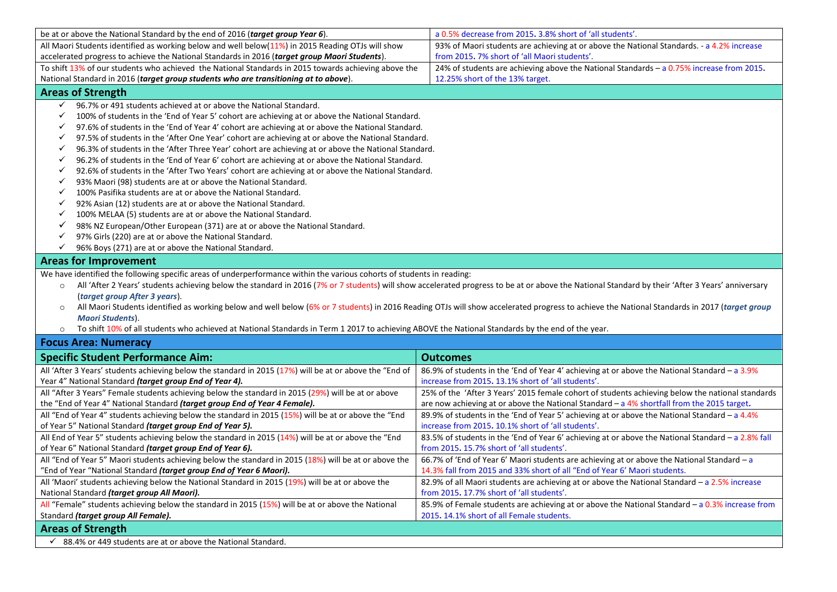| be at or above the National Standard by the end of 2016 (target group Year 6).                                                                                                                              | a 0.5% decrease from 2015. 3.8% short of 'all students'.                                           |  |
|-------------------------------------------------------------------------------------------------------------------------------------------------------------------------------------------------------------|----------------------------------------------------------------------------------------------------|--|
| All Maori Students identified as working below and well below(11%) in 2015 Reading OTJs will show                                                                                                           | 93% of Maori students are achieving at or above the National Standards. - a 4.2% increase          |  |
| accelerated progress to achieve the National Standards in 2016 (target group Maori Students).                                                                                                               | from 2015. 7% short of 'all Maori students'.                                                       |  |
| To shift 13% of our students who achieved the National Standards in 2015 towards achieving above the                                                                                                        | 24% of students are achieving above the National Standards - $a$ 0.75% increase from 2015.         |  |
| National Standard in 2016 (target group students who are transitioning at to above).                                                                                                                        | 12.25% short of the 13% target.                                                                    |  |
| <b>Areas of Strength</b>                                                                                                                                                                                    |                                                                                                    |  |
| $\checkmark$<br>96.7% or 491 students achieved at or above the National Standard.                                                                                                                           |                                                                                                    |  |
| $\checkmark$<br>100% of students in the 'End of Year 5' cohort are achieving at or above the National Standard.                                                                                             |                                                                                                    |  |
| 97.6% of students in the 'End of Year 4' cohort are achieving at or above the National Standard.<br>✓                                                                                                       |                                                                                                    |  |
| 97.5% of students in the 'After One Year' cohort are achieving at or above the National Standard.<br>✓                                                                                                      |                                                                                                    |  |
| $\checkmark$<br>96.3% of students in the 'After Three Year' cohort are achieving at or above the National Standard.                                                                                         |                                                                                                    |  |
| 96.2% of students in the 'End of Year 6' cohort are achieving at or above the National Standard.<br>✓                                                                                                       |                                                                                                    |  |
| 92.6% of students in the 'After Two Years' cohort are achieving at or above the National Standard.<br>✓                                                                                                     |                                                                                                    |  |
| ✓<br>93% Maori (98) students are at or above the National Standard.                                                                                                                                         |                                                                                                    |  |
| ✓<br>100% Pasifika students are at or above the National Standard.                                                                                                                                          |                                                                                                    |  |
| ✓<br>92% Asian (12) students are at or above the National Standard.                                                                                                                                         |                                                                                                    |  |
| 100% MELAA (5) students are at or above the National Standard.<br>✓                                                                                                                                         |                                                                                                    |  |
| ✓<br>98% NZ European/Other European (371) are at or above the National Standard.                                                                                                                            |                                                                                                    |  |
| $\checkmark$<br>97% Girls (220) are at or above the National Standard.                                                                                                                                      |                                                                                                    |  |
| $\checkmark$<br>96% Boys (271) are at or above the National Standard.                                                                                                                                       |                                                                                                    |  |
| <b>Areas for Improvement</b>                                                                                                                                                                                |                                                                                                    |  |
|                                                                                                                                                                                                             |                                                                                                    |  |
| We have identified the following specific areas of underperformance within the various cohorts of students in reading:                                                                                      |                                                                                                    |  |
| All 'After 2 Years' students achieving below the standard in 2016 (7% or 7 students) will show accelerated progress to be at or above the National Standard by their 'After 3 Years' anniversary<br>$\circ$ |                                                                                                    |  |
| (target group After 3 years).                                                                                                                                                                               |                                                                                                    |  |
| All Maori Students identified as working below and well below (6% or 7 students) in 2016 Reading OTJs will show accelerated progress to achieve the National Standards in 2017 (target group<br>$\circ$     |                                                                                                    |  |
| Maori Students).<br>To shift 10% of all students who achieved at National Standards in Term 1 2017 to achieving ABOVE the National Standards by the end of the year.<br>$\circ$                             |                                                                                                    |  |
|                                                                                                                                                                                                             |                                                                                                    |  |
| <b>Focus Area: Numeracy</b>                                                                                                                                                                                 |                                                                                                    |  |
| <b>Specific Student Performance Aim:</b>                                                                                                                                                                    | <b>Outcomes</b>                                                                                    |  |
| All 'After 3 Years' students achieving below the standard in 2015 (17%) will be at or above the "End of                                                                                                     | 86.9% of students in the 'End of Year 4' achieving at or above the National Standard - a 3.9%      |  |
| Year 4" National Standard (target group End of Year 4).                                                                                                                                                     | increase from 2015. 13.1% short of 'all students'.                                                 |  |
| All "After 3 Years" Female students achieving below the standard in 2015 (29%) will be at or above                                                                                                          | 25% of the 'After 3 Years' 2015 female cohort of students achieving below the national standards   |  |
| the "End of Year 4" National Standard (target group End of Year 4 Female).                                                                                                                                  | are now achieving at or above the National Standard $-$ a 4% shortfall from the 2015 target.       |  |
| All "End of Year 4" students achieving below the standard in 2015 (15%) will be at or above the "End                                                                                                        | 89.9% of students in the 'End of Year 5' achieving at or above the National Standard - a 4.4%      |  |
| of Year 5" National Standard (target group End of Year 5).                                                                                                                                                  | increase from 2015. 10.1% short of 'all students'.                                                 |  |
| All End of Year 5" students achieving below the standard in 2015 (14%) will be at or above the "End                                                                                                         | 83.5% of students in the 'End of Year 6' achieving at or above the National Standard - a 2.8% fall |  |
| of Year 6" National Standard (target group End of Year 6).                                                                                                                                                  | from 2015. 15.7% short of 'all students'.                                                          |  |
| All "End of Year 5" Maori students achieving below the standard in 2015 (18%) will be at or above the                                                                                                       | 66.7% of 'End of Year 6' Maori students are achieving at or above the National Standard - a        |  |
| "End of Year "National Standard (target group End of Year 6 Maori).                                                                                                                                         | 14.3% fall from 2015 and 33% short of all "End of Year 6' Maori students.                          |  |
| All 'Maori' students achieving below the National Standard in 2015 (19%) will be at or above the                                                                                                            | 82.9% of all Maori students are achieving at or above the National Standard $-$ a 2.5% increase    |  |
| National Standard (target group All Maori).                                                                                                                                                                 | from 2015. 17.7% short of 'all students'.                                                          |  |
| All "Female" students achieving below the standard in 2015 (15%) will be at or above the National                                                                                                           | 85.9% of Female students are achieving at or above the National Standard - a 0.3% increase from    |  |
| Standard (target group All Female).                                                                                                                                                                         | 2015. 14.1% short of all Female students.                                                          |  |
| <b>Areas of Strength</b>                                                                                                                                                                                    |                                                                                                    |  |
| $\checkmark$ 88.4% or 449 students are at or above the National Standard.                                                                                                                                   |                                                                                                    |  |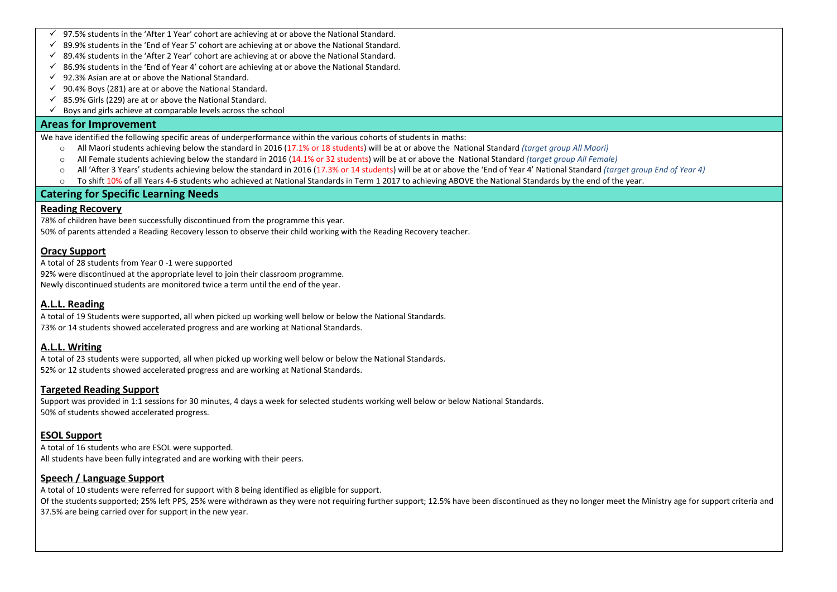- $\checkmark$  97.5% students in the 'After 1 Year' cohort are achieving at or above the National Standard.
- $\checkmark$  89.9% students in the 'End of Year 5' cohort are achieving at or above the National Standard.
- $\checkmark$  89.4% students in the 'After 2 Year' cohort are achieving at or above the National Standard.
- $\checkmark$  86.9% students in the 'End of Year 4' cohort are achieving at or above the National Standard.
- $\checkmark$  92.3% Asian are at or above the National Standard.
- $\checkmark$  90.4% Boys (281) are at or above the National Standard.
- $\checkmark$  85.9% Girls (229) are at or above the National Standard.
- $\checkmark$  Boys and girls achieve at comparable levels across the school

#### **Areas for Improvement**

We have identified the following specific areas of underperformance within the various cohorts of students in maths:

- o All Maori students achieving below the standard in 2016 (17.1% or 18 students) will be at or above the National Standard *(target group All Maori)*
- o All Female students achieving below the standard in 2016 (14.1% or 32 students) will be at or above the National Standard *(target group All Female)*
- o All 'After 3 Years' students achieving below the standard in 2016 (17.3% or 14 students) will be at or above the 'End of Year 4' National Standard *(target group End of Year 4)*
- $\circ$  To shift 10% of all Years 4-6 students who achieved at National Standards in Term 1 2017 to achieving ABOVE the National Standards by the end of the year.

#### **Catering for Specific Learning Needs**

#### **Reading Recovery**

78% of children have been successfully discontinued from the programme this year.

50% of parents attended a Reading Recovery lesson to observe their child working with the Reading Recovery teacher.

## **Oracy Support**

A total of 28 students from Year 0 -1 were supported

92% were discontinued at the appropriate level to join their classroom programme. Newly discontinued students are monitored twice a term until the end of the year.

# **A.L.L. Reading**

A total of 19 Students were supported, all when picked up working well below or below the National Standards. 73% or 14 students showed accelerated progress and are working at National Standards.

# **A.L.L. Writing**

A total of 23 students were supported, all when picked up working well below or below the National Standards. 52% or 12 students showed accelerated progress and are working at National Standards.

#### **Targeted Reading Support**

Support was provided in 1:1 sessions for 30 minutes, 4 days a week for selected students working well below or below National Standards. 50% of students showed accelerated progress.

# **ESOL Support**

A total of 16 students who are ESOL were supported. All students have been fully integrated and are working with their peers.

# **Speech / Language Support**

A total of 10 students were referred for support with 8 being identified as eligible for support. Of the students supported; 25% left PPS, 25% were withdrawn as they were not requiring further support; 12.5% have been discontinued as they no longer meet the Ministry age for support criteria and 37.5% are being carried over for support in the new year.